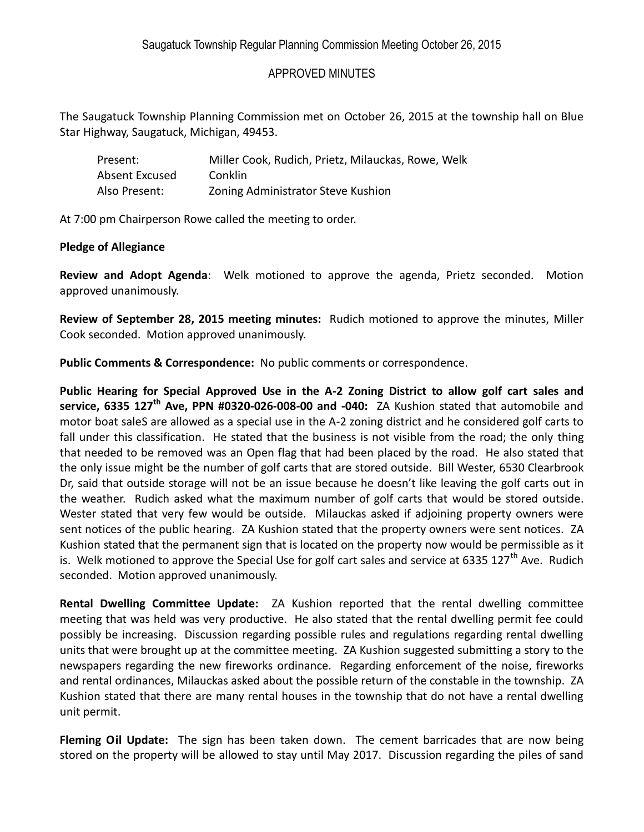## APPROVED MINUTES

The Saugatuck Township Planning Commission met on October 26, 2015 at the township hall on Blue Star Highway, Saugatuck, Michigan, 49453.

| Present:       | Miller Cook, Rudich, Prietz, Milauckas, Rowe, Welk |
|----------------|----------------------------------------------------|
| Absent Excused | Conklin                                            |
| Also Present:  | Zoning Administrator Steve Kushion                 |

At 7:00 pm Chairperson Rowe called the meeting to order.

## **Pledge of Allegiance**

**Review and Adopt Agenda**: Welk motioned to approve the agenda, Prietz seconded. Motion approved unanimously.

**Review of September 28, 2015 meeting minutes:** Rudich motioned to approve the minutes, Miller Cook seconded. Motion approved unanimously.

**Public Comments & Correspondence:** No public comments or correspondence.

**Public Hearing for Special Approved Use in the A-2 Zoning District to allow golf cart sales and service, 6335 127th Ave, PPN #0320-026-008-00 and -040:** ZA Kushion stated that automobile and motor boat saleS are allowed as a special use in the A-2 zoning district and he considered golf carts to fall under this classification. He stated that the business is not visible from the road; the only thing that needed to be removed was an Open flag that had been placed by the road. He also stated that the only issue might be the number of golf carts that are stored outside. Bill Wester, 6530 Clearbrook Dr, said that outside storage will not be an issue because he doesn't like leaving the golf carts out in the weather. Rudich asked what the maximum number of golf carts that would be stored outside. Wester stated that very few would be outside. Milauckas asked if adjoining property owners were sent notices of the public hearing. ZA Kushion stated that the property owners were sent notices. ZA Kushion stated that the permanent sign that is located on the property now would be permissible as it is. Welk motioned to approve the Special Use for golf cart sales and service at 6335 127<sup>th</sup> Ave. Rudich seconded. Motion approved unanimously.

**Rental Dwelling Committee Update:** ZA Kushion reported that the rental dwelling committee meeting that was held was very productive. He also stated that the rental dwelling permit fee could possibly be increasing. Discussion regarding possible rules and regulations regarding rental dwelling units that were brought up at the committee meeting. ZA Kushion suggested submitting a story to the newspapers regarding the new fireworks ordinance. Regarding enforcement of the noise, fireworks and rental ordinances, Milauckas asked about the possible return of the constable in the township. ZA Kushion stated that there are many rental houses in the township that do not have a rental dwelling unit permit.

**Fleming Oil Update:** The sign has been taken down. The cement barricades that are now being stored on the property will be allowed to stay until May 2017. Discussion regarding the piles of sand